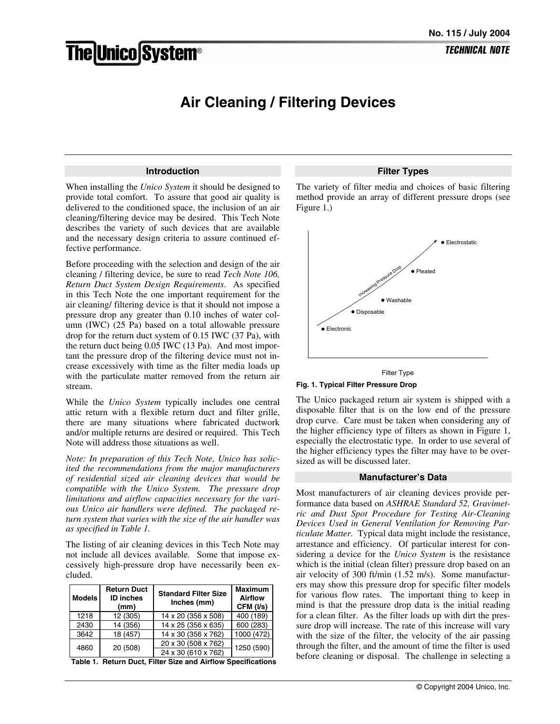# **The Unico System®**

# **TECHNICAL NOTE**

# **Air Cleaning / Filtering Devices**

#### **Introduction**

When installing the *Unico System* it should be designed to provide total comfort. To assure that good air quality is delivered to the conditioned space, the inclusion of an air cleaning/filtering device may be desired. This Tech Note describes the variety of such devices that are available and the necessary design criteria to assure continued effective performance.

Before proceeding with the selection and design of the air cleaning / filtering device, be sure to read *Tech Note 106, Return Duct System Design Requirements*. As specified in this Tech Note the one important requirement for the air cleaning/ filtering device is that it should not impose a pressure drop any greater than 0.10 inches of water column (IWC) (25 Pa) based on a total allowable pressure drop for the return duct system of 0.15 IWC (37 Pa), with the return duct being 0.05 IWC (13 Pa). And most important the pressure drop of the filtering device must not increase excessively with time as the filter media loads up with the particulate matter removed from the return air stream.

While the *Unico System* typically includes one central attic return with a flexible return duct and filter grille, there are many situations where fabricated ductwork and/or multiple returns are desired or required. This Tech Note will address those situations as well.

*Note: In preparation of this Tech Note, Unico has solicited the recommendations from the major manufacturers of residential sized air cleaning devices that would be compatible with the Unico System. The pressure drop limitations and airflow capacities necessary for the various Unico air handlers were defined. The packaged return system that varies with the size of the air handler was as specified in Table 1.* 

The listing of air cleaning devices in this Tech Note may not include all devices available. Some that impose excessively high-pressure drop have necessarily been excluded.

| <b>Models</b> | <b>Return Duct</b><br><b>ID</b> inches<br>(mm) | <b>Standard Filter Size</b><br>Inches (mm) | <b>Maximum</b><br><b>Airflow</b><br>CFM (I/s) |
|---------------|------------------------------------------------|--------------------------------------------|-----------------------------------------------|
| 1218          | 12 (305)                                       | 14 x 20 (356 x 508)                        | 400 (189)                                     |
| 2430          | 14 (356)                                       | 14 x 25 (356 x 635)                        | 600 (283)                                     |
| 3642          | 18 (457)                                       | 14 x 30 (356 x 762)                        | 1000 (472)                                    |
| 4860          | 20 (508)                                       | 20 x 30 (508 x 762)                        | 1250 (590)                                    |
|               |                                                | 24 x 30 (610 x 762)                        |                                               |

**Table 1. Return Duct, Filter Size and Airflow Specifications** 

#### **Filter Types**

The variety of filter media and choices of basic filtering method provide an array of different pressure drops (see Figure 1.)





#### **Fig. 1. Typical Filter Pressure Drop**

The Unico packaged return air system is shipped with a disposable filter that is on the low end of the pressure drop curve. Care must be taken when considering any of the higher efficiency type of filters as shown in Figure 1, especially the electrostatic type. In order to use several of the higher efficiency types the filter may have to be oversized as will be discussed later.

#### **Manufacturer's Data**

Most manufacturers of air cleaning devices provide performance data based on *ASHRAE Standard 52, Gravimetric and Dust Spot Procedure for Testing Air-Cleaning Devices Used in General Ventilation for Removing Particulate Matter.* Typical data might include the resistance, arrestance and efficiency. Of particular interest for considering a device for the *Unico System* is the resistance which is the initial (clean filter) pressure drop based on an air velocity of 300 ft/min (1.52 m/s). Some manufacturers may show this pressure drop for specific filter models for various flow rates. The important thing to keep in mind is that the pressure drop data is the initial reading for a clean filter. As the filter loads up with dirt the pressure drop will increase. The rate of this increase will vary with the size of the filter, the velocity of the air passing through the filter, and the amount of time the filter is used before cleaning or disposal. The challenge in selecting a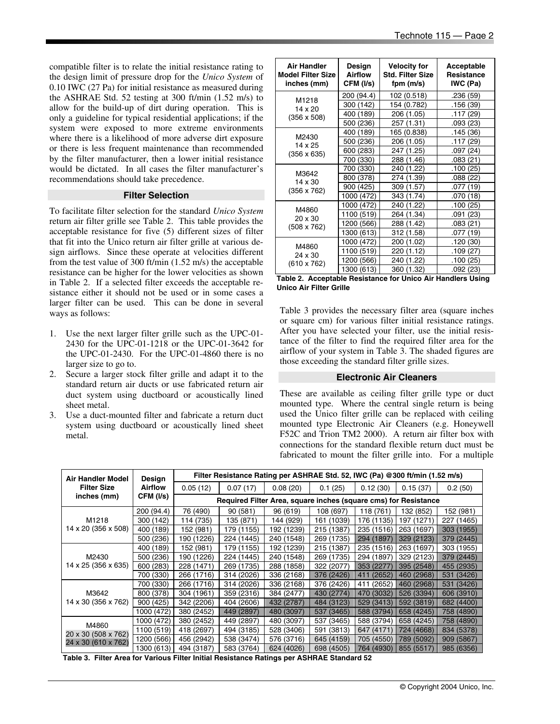compatible filter is to relate the initial resistance rating to the design limit of pressure drop for the *Unico System* of 0.10 IWC (27 Pa) for initial resistance as measured during the ASHRAE Std. 52 testing at 300 ft/min (1.52 m/s) to allow for the build-up of dirt during operation. This is only a guideline for typical residential applications; if the system were exposed to more extreme environments where there is a likelihood of more adverse dirt exposure or there is less frequent maintenance than recommended by the filter manufacturer, then a lower initial resistance would be dictated. In all cases the filter manufacturer's recommendations should take precedence.

# **Filter Selection**

To facilitate filter selection for the standard *Unico System* return air filter grille see Table 2. This table provides the acceptable resistance for five (5) different sizes of filter that fit into the Unico return air filter grille at various design airflows. Since these operate at velocities different from the test value of 300 ft/min (1.52 m/s) the acceptable resistance can be higher for the lower velocities as shown in Table 2. If a selected filter exceeds the acceptable resistance either it should not be used or in some cases a larger filter can be used. This can be done in several ways as follows:

- 1. Use the next larger filter grille such as the UPC-01- 2430 for the UPC-01-1218 or the UPC-01-3642 for the UPC-01-2430. For the UPC-01-4860 there is no larger size to go to.
- 2. Secure a larger stock filter grille and adapt it to the standard return air ducts or use fabricated return air duct system using ductboard or acoustically lined sheet metal.
- 3. Use a duct-mounted filter and fabricate a return duct system using ductboard or acoustically lined sheet metal.

| <b>Air Handler</b><br><b>Model Filter Size</b><br>inches (mm) | Design<br><b>Airflow</b><br>CFM (I/s) | <b>Velocity for</b><br><b>Std. Filter Size</b><br>fpm (m/s) | Acceptable<br><b>Resistance</b><br>IWC (Pa) |
|---------------------------------------------------------------|---------------------------------------|-------------------------------------------------------------|---------------------------------------------|
| M1218                                                         | 200 (94.4)                            | 102 (0.518)                                                 | .236 (59)                                   |
| 14 x 20                                                       | 300 (142)                             | 154 (0.782)                                                 | .156 (39)                                   |
| $(356 \times 508)$                                            | 400 (189)                             | 206 (1.05)                                                  | .117 (29)                                   |
|                                                               | 500 (236)                             | 257 (1.31)                                                  | .093(23)                                    |
|                                                               | 400 (189)                             | 165 (0.838)                                                 | .145 (36)                                   |
| M2430<br>14 x 25                                              | 500 (236)                             | 206 (1.05)                                                  | .117 (29)                                   |
| $(356 \times 635)$                                            | 600 (283)                             | 247 (1.25)                                                  | .097 (24)                                   |
|                                                               | 700 (330)                             | 288 (1.46)                                                  | .083 (21)                                   |
|                                                               | 700 (330)                             | 240 (1.22)                                                  | .100 (25)                                   |
| M3642<br>14 x 30                                              | 800 (378)                             | 274 (1.39)                                                  | .088 (22)                                   |
| $(356 \times 762)$                                            | 900 (425)                             | 309 (1.57)                                                  | .077 (19)                                   |
|                                                               | 1000 (472)                            | 343 (1.74)                                                  | .070 (18)                                   |
|                                                               | 1000 (472)                            | 240 (1.22)                                                  | .100 (25)                                   |
| M4860<br>$20 \times 30$                                       | 1100 (519)                            | 264 (1.34)                                                  | .091 (23)                                   |
| (508 x 762)                                                   | 1200 (566)                            | 288 (1.42)                                                  | .083 (21)                                   |
|                                                               | 1300 (613)                            | 312 (1.58)                                                  | .077 (19)                                   |
|                                                               | 1000 (472)                            | 200 (1.02)                                                  | .120 (30)                                   |
| M4860<br>24 x 30                                              | 1100 (519)                            | 220 (1.12)                                                  | .109 (27)                                   |
| (610 x 762)                                                   | 1200 (566)                            | 240 (1.22)                                                  | .100(25)                                    |
|                                                               | 1300 (613)                            | 360 (1.32)                                                  | .092 (23)                                   |

| Table 2. Acceptable Resistance for Unico Air Handlers Using |  |
|-------------------------------------------------------------|--|
| Unico Air Filter Grille                                     |  |

Table 3 provides the necessary filter area (square inches or square cm) for various filter initial resistance ratings. After you have selected your filter, use the initial resistance of the filter to find the required filter area for the airflow of your system in Table 3. The shaded figures are those exceeding the standard filter grille sizes.

## **Electronic Air Cleaners**

These are available as ceiling filter grille type or duct mounted type. Where the central single return is being used the Unico filter grille can be replaced with ceiling mounted type Electronic Air Cleaners (e.g. Honeywell F52C and Trion TM2 2000). A return air filter box with connections for the standard flexible return duct must be fabricated to mount the filter grille into. For a multiple

| Air Handler Model            | Design     | Filter Resistance Rating per ASHRAE Std. 52, IWC (Pa) @300 ft/min (1.52 m/s) |            |                                                                 |            |            |            |            |
|------------------------------|------------|------------------------------------------------------------------------------|------------|-----------------------------------------------------------------|------------|------------|------------|------------|
| <b>Filter Size</b>           | Airfiow    | 0.05(12)                                                                     | 0.07(17)   | 0.08(20)                                                        | 0.1(25)    | 0.12(30)   | 0.15(37)   | 0.2(50)    |
| inches (mm)                  | CFM (I/s)  |                                                                              |            | Required Filter Area, square inches (square cms) for Resistance |            |            |            |            |
|                              | 200 (94.4) | 76 (490)                                                                     | 90(581)    | 96 (619)                                                        | 108 (697)  | 118 (761)  | 132 (852)  | 152 (981)  |
| M1218                        | 300 (142)  | 114 (735)                                                                    | 135 (871)  | 144 (929)                                                       | 161 (1039) | 176 (1135) | 197 (1271) | 227 (1465) |
| 14 x 20 (356 x 508)          | 400 (189)  | 152 (981)                                                                    | 179 (1155) | 192 (1239)                                                      | 215 (1387) | 235 (1516) | 263 (1697) | 303 (1955) |
|                              | 500 (236)  | 190 (1226)                                                                   | 224 (1445) | 240 (1548)                                                      | 269 (1735) | 294 (1897) | 329 (2123) | 379 (2445) |
|                              | 400 (189)  | 152 (981)                                                                    | 179 (1155) | 192 (1239)                                                      | 215 (1387) | 235 (1516) | 263 (1697) | 303 (1955) |
| M2430                        | 500 (236)  | 190 (1226)                                                                   | 224 (1445) | 240 (1548)                                                      | 269 (1735) | 294 (1897) | 329 (2123) | 379 (2445) |
| 14 x 25 (356 x 635)          | 600 (283)  | 228 (1471)                                                                   | 269 (1735) | 288 (1858)                                                      | 322 (2077) | 353 (2277) | 395 (2548) | 455 (2935) |
|                              | 700 (330)  | 266 (1716)                                                                   | 314 (2026) | 336 (2168)                                                      | 376 (2426) | 411 (2652) | 460 (2968) | 531 (3426) |
|                              | 700 (330)  | 266 (1716)                                                                   | 314 (2026) | 336 (2168)                                                      | 376 (2426) | 411 (2652) | 460 (2968) | 531 (3426) |
| M3642                        | 800 (378)  | 304 (1961)                                                                   | 359 (2316) | 384 (2477)                                                      | 430 (2774) | 470 (3032) | 526 (3394) | 606 (3910) |
| 14 x 30 (356 x 762)          | 900 (425)  | 342 (2206)                                                                   | 404 (2606) | 432 (2787)                                                      | 484 (3123) | 529 (3413) | 592 (3819) | 682 (4400) |
|                              | 1000 (472) | 380 (2452)                                                                   | 449 (2897) | 480 (3097)                                                      | 537 (3465) | 588 (3794) | 658 (4245) | 758 (4890) |
| M4860<br>20 x 30 (508 x 762) | 1000 (472) | 380 (2452)                                                                   | 449 (2897) | 480 (3097)                                                      | 537 (3465) | 588 (3794) | 658 (4245) | 758 (4890) |
|                              | 1100 (519) | 418 (2697)                                                                   | 494 (3185) | 528 (3406)                                                      | 591 (3813) | 647 (4171) | 724 (4668) | 834 (5378) |
| 24 x 30 (610 x 762)          | 1200 (566) | 456 (2942)                                                                   | 538 (3474) | 576 (3716)                                                      | 645 (4159) | 705 (4550) | 789 (5092) | 909 (5867) |
|                              | 1300 (613) | 494 (3187)                                                                   | 583 (3764) | 624 (4026)                                                      | 698 (4505) | 764 (4930) | 855 (5517) | 985 (6356) |

**Table 3. Filter Area for Various Filter Initial Resistance Ratings per ASHRAE Standard 52**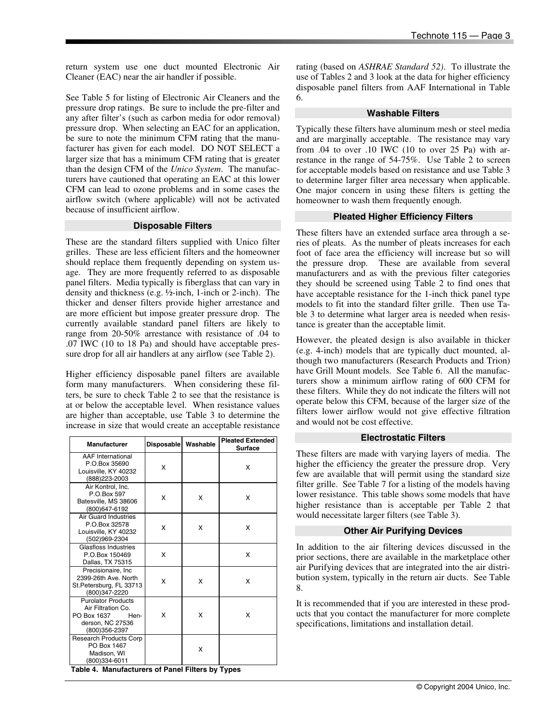return system use one duct mounted Electronic Air Cleaner (EAC) near the air handler if possible.

See Table 5 for listing of Electronic Air Cleaners and the pressure drop ratings. Be sure to include the pre-filter and any after filter's (such as carbon media for odor removal) pressure drop. When selecting an EAC for an application, be sure to note the minimum CFM rating that the manufacturer has given for each model. DO NOT SELECT a larger size that has a minimum CFM rating that is greater than the design CFM of the *Unico System*. The manufacturers have cautioned that operating an EAC at this lower CFM can lead to ozone problems and in some cases the airflow switch (where applicable) will not be activated because of insufficient airflow.

#### **Disposable Filters**

These are the standard filters supplied with Unico filter grilles. These are less efficient filters and the homeowner should replace them frequently depending on system usage. They are more frequently referred to as disposable panel filters. Media typically is fiberglass that can vary in density and thickness (e.g. ½-inch, 1-inch or 2-inch). The thicker and denser filters provide higher arrestance and are more efficient but impose greater pressure drop. The currently available standard panel filters are likely to range from 20-50% arrestance with resistance of .04 to .07 IWC (10 to 18 Pa) and should have acceptable pressure drop for all air handlers at any airflow (see Table 2).

Higher efficiency disposable panel filters are available form many manufacturers. When considering these filters, be sure to check Table 2 to see that the resistance is at or below the acceptable level. When resistance values are higher than acceptable, use Table 3 to determine the increase in size that would create an acceptable resistance

| <b>Manufacturer</b>                                                                                                              | <b>Disposable</b> | Washable | <b>Pleated Extended</b><br><b>Surface</b> |
|----------------------------------------------------------------------------------------------------------------------------------|-------------------|----------|-------------------------------------------|
| <b>AAF</b> International<br>P.O.Box 35690<br>Louisville, KY 40232<br>(888) 223-2003                                              | x                 |          | x                                         |
| Air Kontrol, Inc.<br>P.O.Box 597<br>Batesville, MS 38606<br>(800)647-6192                                                        | х                 | X        | x                                         |
| <b>Air Guard Industries</b><br>P.O.Box 32578<br>Louisville, KY 40232<br>(502)969-2304                                            | x                 | x        | x                                         |
| Glasfloss Industries<br>P.O.Box 150469<br>Dallas, TX 75315                                                                       | x                 |          | x                                         |
| Precisionaire, Inc.<br>2399-26th Ave. North<br>St.Petersburg, FL 33713<br>(800)347-2220                                          | x                 | x        | x                                         |
| <b>Purolator Products</b><br>Air Filtration Co.<br>PO Box 1637<br>Hen-<br>derson, NC 27536<br>(800)356-2397                      | x                 | x        | x                                         |
| <b>Research Products Corp</b><br>PO Box 1467<br>Madison, WI<br>(800)334-6011<br>Table 4. Manufacturers of Panel Filters by Types |                   | X        |                                           |

rating (based on *ASHRAE Standard 52)*. To illustrate the use of Tables 2 and 3 look at the data for higher efficiency disposable panel filters from AAF International in Table 6.

#### **Washable Filters**

Typically these filters have aluminum mesh or steel media and are marginally acceptable. The resistance may vary from .04 to over .10 IWC (10 to over 25 Pa) with arrestance in the range of 54-75%. Use Table 2 to screen for acceptable models based on resistance and use Table 3 to determine larger filter area necessary when applicable. One major concern in using these filters is getting the homeowner to wash them frequently enough.

# **Pleated Higher Efficiency Filters**

These filters have an extended surface area through a series of pleats. As the number of pleats increases for each foot of face area the efficiency will increase but so will the pressure drop. These are available from several manufacturers and as with the previous filter categories they should be screened using Table 2 to find ones that have acceptable resistance for the 1-inch thick panel type models to fit into the standard filter grille. Then use Table 3 to determine what larger area is needed when resistance is greater than the acceptable limit.

However, the pleated design is also available in thicker (e.g. 4-inch) models that are typically duct mounted, although two manufacturers (Research Products and Trion) have Grill Mount models. See Table 6. All the manufacturers show a minimum airflow rating of 600 CFM for these filters. While they do not indicate the filters will not operate below this CFM, because of the larger size of the filters lower airflow would not give effective filtration and would not be cost effective.

#### **Electrostatic Filters**

These filters are made with varying layers of media. The higher the efficiency the greater the pressure drop. Very few are available that will permit using the standard size filter grille. See Table 7 for a listing of the models having lower resistance. This table shows some models that have higher resistance than is acceptable per Table 2 that would necessitate larger filters (see Table 3).

# **Other Air Purifying Devices**

In addition to the air filtering devices discussed in the prior sections, there are available in the marketplace other air Purifying devices that are integrated into the air distribution system, typically in the return air ducts. See Table 8.

It is recommended that if you are interested in these products that you contact the manufacturer for more complete specifications, limitations and installation detail.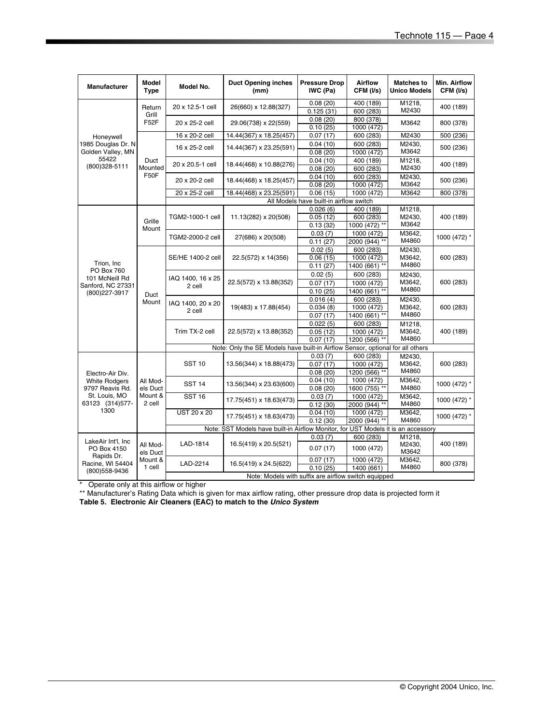| <b>Manufacturer</b>                             | <b>Model</b><br><b>Type</b> | Model No.                                                                                                    | <b>Duct Opening inches</b><br>(mm)                                                | <b>Pressure Drop</b><br>IWC (Pa)        | <b>Airflow</b><br>CFM (I/s) | <b>Matches to</b><br><b>Unico Models</b> | Min. Airflow<br>CFM (I/s) |
|-------------------------------------------------|-----------------------------|--------------------------------------------------------------------------------------------------------------|-----------------------------------------------------------------------------------|-----------------------------------------|-----------------------------|------------------------------------------|---------------------------|
|                                                 | Return                      | 20 x 12.5-1 cell                                                                                             | 26(660) x 12.88(327)                                                              | 0.08(20)                                | 400 (189)                   | M1218,                                   | 400 (189)                 |
|                                                 | Grill                       |                                                                                                              |                                                                                   | 0.125(31)                               | 600 (283)                   | M2430                                    |                           |
|                                                 | F52F                        | 20 x 25-2 cell                                                                                               | 29.06(738) x 22(559)                                                              | 0.08(20)                                | 800 (378)                   | M3642                                    | 800 (378)                 |
|                                                 |                             |                                                                                                              |                                                                                   | 0.10(25)                                | 1000 (472)                  |                                          |                           |
| Honeywell                                       |                             | 16 x 20-2 cell                                                                                               | 14.44(367) x 18.25(457)                                                           | 0.07(17)                                | 600 (283)                   | M2430                                    | 500 (236)                 |
| 1985 Douglas Dr. N                              |                             | 16 x 25-2 cell                                                                                               | 14.44(367) x 23.25(591)                                                           | 0.04(10)                                | 600 (283)                   | M2430,                                   | 500 (236)                 |
| Golden Valley, MN                               |                             |                                                                                                              |                                                                                   | 0.08(20)                                | 1000 (472)                  | M3642                                    |                           |
| 55422                                           | Duct                        | 20 x 20.5-1 cell                                                                                             | 18.44(468) x 10.88(276)                                                           | 0.04(10)                                | 400 (189)                   | M1218,                                   | 400 (189)                 |
| (800)328-5111                                   | Mounted                     |                                                                                                              |                                                                                   | 0.08(20)                                | 600 (283)                   | M2430                                    |                           |
|                                                 | <b>F50F</b>                 | 20 x 20-2 cell                                                                                               | 18.44(468) x 18.25(457)                                                           | 0.04(10)                                | 600 (283)                   | M2430,                                   | 500 (236)                 |
|                                                 |                             |                                                                                                              |                                                                                   | 0.08(20)                                | 1000 (472)                  | M3642                                    |                           |
|                                                 |                             | 20 x 25-2 cell                                                                                               | 18.44(468) x 23.25(591)                                                           | 0.06(15)                                | 1000 (472)                  | M3642                                    | 800 (378)                 |
|                                                 |                             |                                                                                                              |                                                                                   | All Models have built-in airflow switch |                             |                                          |                           |
|                                                 |                             |                                                                                                              |                                                                                   | 0.026(6)                                | 400 (189)                   | M1218,                                   |                           |
|                                                 | Grille                      | TGM2-1000-1 cell                                                                                             | 11.13(282) x 20(508)                                                              | 0.05(12)                                | 600 (283)                   | M2430.                                   | 400 (189)                 |
|                                                 | Mount                       |                                                                                                              |                                                                                   | 0.13(32)                                | 1000 (472) **               | M3642                                    |                           |
|                                                 |                             | TGM2-2000-2 cell                                                                                             | 27(686) x 20(508)                                                                 | 0.03(7)                                 | 1000 (472)                  | M3642.                                   | 1000 (472) *              |
|                                                 |                             |                                                                                                              |                                                                                   | 0.11(27)                                | 2000 (944) **               | M4860                                    |                           |
|                                                 |                             | SE/HE 1400-2 cell                                                                                            | 22.5(572) x 14(356)                                                               | 0.02(5)                                 | 600 (283)                   | M2430,                                   |                           |
| Trion, Inc.                                     |                             |                                                                                                              |                                                                                   | 0.06(15)                                | 1000 (472)                  | M3642.<br>M4860                          | 600 (283)                 |
| PO Box 760                                      |                             |                                                                                                              |                                                                                   | 0.11(27)                                | 1400 (661) **               |                                          |                           |
| 101 McNeill Rd                                  |                             | IAQ 1400, 16 x 25<br>22.5(572) x 13.88(352)<br>2 cell<br>IAQ 1400, 20 x 20<br>19(483) x 17.88(454)<br>2 cell |                                                                                   | 0.02(5)                                 | 600 (283)                   | M2430.                                   |                           |
| Sanford, NC 27331                               |                             |                                                                                                              |                                                                                   | 0.07(17)                                | 1000 (472)                  | M3642,<br>M4860                          | 600 (283)                 |
| (800) 227-3917                                  | Duct                        |                                                                                                              |                                                                                   | 0.10(25)                                | 1400 (661) **               |                                          |                           |
|                                                 | Mount                       |                                                                                                              | 0.016(4)                                                                          | 600 (283)                               | M2430,                      |                                          |                           |
|                                                 |                             |                                                                                                              |                                                                                   | 0.034(8)                                | 1000 (472)                  | M3642,<br>M4860                          | 600 (283)                 |
|                                                 |                             |                                                                                                              |                                                                                   | 0.07(17)                                | 1400 (661) **               |                                          |                           |
|                                                 |                             | Trim TX-2 cell                                                                                               | 22.5(572) x 13.88(352)                                                            | 0.022(5)<br>0.05(12)                    | 600 (283)<br>1000 (472)     | M1218,<br>M3642.                         | 400 (189)                 |
|                                                 |                             |                                                                                                              |                                                                                   | 0.07(17)                                | 1200 (566) **               | M4860                                    |                           |
|                                                 |                             |                                                                                                              | Note: Only the SE Models have built-in Airflow Sensor, optional for all others    |                                         |                             |                                          |                           |
|                                                 |                             |                                                                                                              |                                                                                   | 0.03(7)                                 | 600 (283)                   | M2430.                                   |                           |
|                                                 |                             | <b>SST 10</b>                                                                                                | 13.56(344) x 18.88(473)                                                           | 0.07(17)                                | 1000 (472)                  | M3642,                                   | 600 (283)                 |
|                                                 |                             |                                                                                                              |                                                                                   | 0.08(20)                                | 1200 (566) **               | M4860                                    |                           |
| Electro-Air Div.<br><b>White Rodgers</b>        | All Mod-                    |                                                                                                              |                                                                                   | 0.04(10)                                | 1000 (472)                  | M3642.                                   |                           |
| 9797 Reavis Rd.                                 | els Duct                    | <b>SST 14</b>                                                                                                | 13.56(344) x 23.63(600)                                                           | 0.08(20)                                | 1600 (755) **               | M4860                                    | 1000 (472) *              |
| St. Louis, MO                                   | Mount &                     | <b>SST 16</b>                                                                                                |                                                                                   | 0.03(7)                                 | 1000 (472)                  | M3642,                                   |                           |
| 63123 (314) 577-                                | 2 cell                      |                                                                                                              | 17.75(451) x 18.63(473)                                                           | 0.12(30)                                | 2000 (944)                  | M4860                                    | 1000 (472) *              |
| 1300                                            |                             | UST 20 x 20                                                                                                  |                                                                                   | 0.04(10)                                | 1000 (472)                  | M3642,                                   |                           |
|                                                 |                             |                                                                                                              | 17.75(451) x 18.63(473)                                                           | 0.12(30)                                | 2000 (944) **               | M4860                                    | 1000 (472) *              |
|                                                 |                             |                                                                                                              | Note: SST Models have built-in Airflow Monitor, for UST Models it is an accessory |                                         |                             |                                          |                           |
|                                                 |                             |                                                                                                              |                                                                                   | 0.03(7)                                 | 600 (283)                   | M1218,                                   |                           |
| LakeAir Int'l, Inc<br>PO Box 4150<br>Rapids Dr. | All Mod-<br>els Duct        | LAD-1814                                                                                                     | 16.5(419) x 20.5(521)                                                             | 0.07(17)                                | 1000 (472)                  | M2430,<br>M3642                          | 400 (189)                 |
| Racine, WI 54404                                | Mount &                     | LAD-2214                                                                                                     | 16.5(419) x 24.5(622)                                                             | 0.07(17)                                | 1000 (472)                  | M3642,                                   | 800 (378)                 |
| (800)558-9436                                   | 1 cell                      |                                                                                                              |                                                                                   | 0.10(25)                                | 1400 (661)                  | M4860                                    |                           |
|                                                 |                             | Note: Models with suffix are airflow switch equipped                                                         |                                                                                   |                                         |                             |                                          |                           |

\* Operate only at this airflow or higher

\*\* Manufacturer's Rating Data which is given for max airflow rating, other pressure drop data is projected form it

**Table 5. Electronic Air Cleaners (EAC) to match to the** *Unico System*